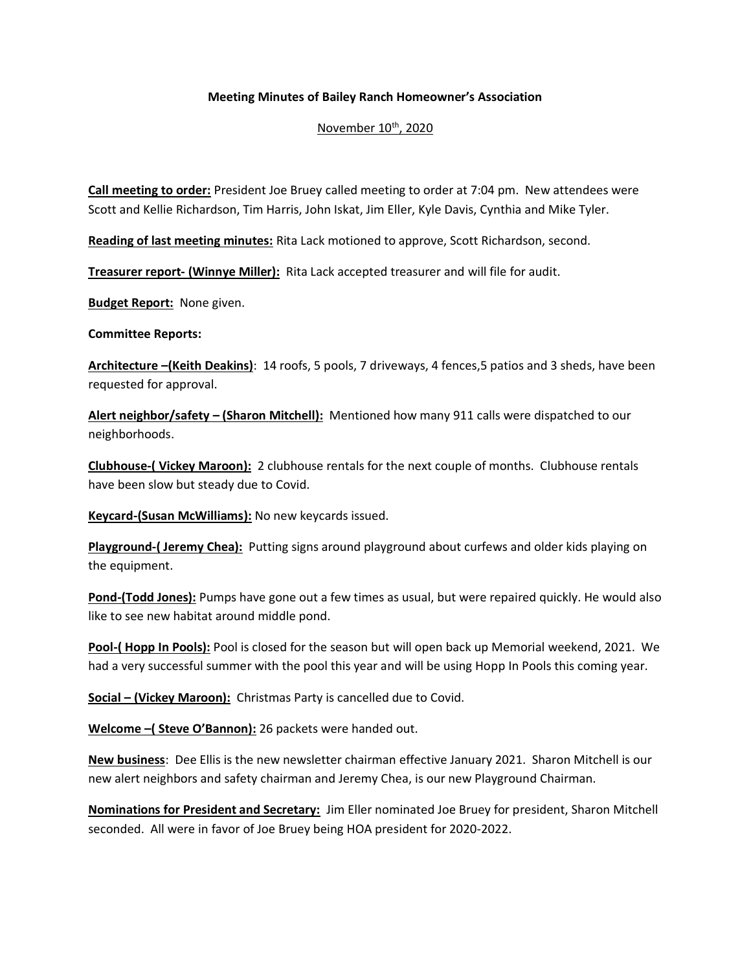## **Meeting Minutes of Bailey Ranch Homeowner's Association**

## November 10<sup>th</sup>, 2020

**Call meeting to order:** President Joe Bruey called meeting to order at 7:04 pm. New attendees were Scott and Kellie Richardson, Tim Harris, John Iskat, Jim Eller, Kyle Davis, Cynthia and Mike Tyler.

**Reading of last meeting minutes:** Rita Lack motioned to approve, Scott Richardson, second.

**Treasurer report- (Winnye Miller):** Rita Lack accepted treasurer and will file for audit.

**Budget Report:** None given.

**Committee Reports:** 

**Architecture –(Keith Deakins)**: 14 roofs, 5 pools, 7 driveways, 4 fences,5 patios and 3 sheds, have been requested for approval.

**Alert neighbor/safety – (Sharon Mitchell):** Mentioned how many 911 calls were dispatched to our neighborhoods.

**Clubhouse-( Vickey Maroon):** 2 clubhouse rentals for the next couple of months. Clubhouse rentals have been slow but steady due to Covid.

**Keycard-(Susan McWilliams):** No new keycards issued.

**Playground-( Jeremy Chea):** Putting signs around playground about curfews and older kids playing on the equipment.

**Pond-(Todd Jones):** Pumps have gone out a few times as usual, but were repaired quickly. He would also like to see new habitat around middle pond.

**Pool-( Hopp In Pools):** Pool is closed for the season but will open back up Memorial weekend, 2021. We had a very successful summer with the pool this year and will be using Hopp In Pools this coming year.

**Social – (Vickey Maroon):** Christmas Party is cancelled due to Covid.

**Welcome –( Steve O'Bannon):** 26 packets were handed out.

**New business**: Dee Ellis is the new newsletter chairman effective January 2021. Sharon Mitchell is our new alert neighbors and safety chairman and Jeremy Chea, is our new Playground Chairman.

**Nominations for President and Secretary:** Jim Eller nominated Joe Bruey for president, Sharon Mitchell seconded. All were in favor of Joe Bruey being HOA president for 2020-2022.